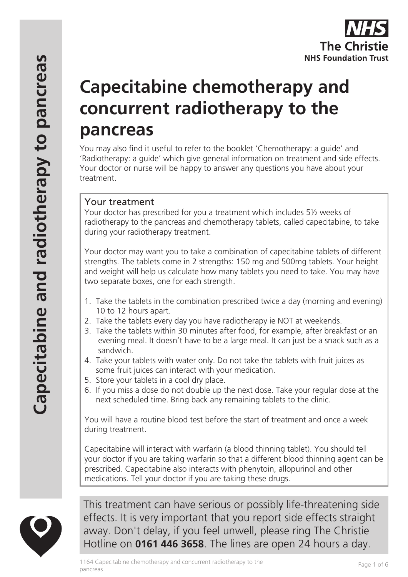# **Capecitabine chemotherapy and concurrent radiotherapy to the pancreas**

You may also find it useful to refer to the booklet 'Chemotherapy: a guide' and 'Radiotherapy: a guide' which give general information on treatment and side effects. Your doctor or nurse will be happy to answer any questions you have about your treatment.

## Your treatment

Your doctor has prescribed for you a treatment which includes 5½ weeks of radiotherapy to the pancreas and chemotherapy tablets, called capecitabine, to take during your radiotherapy treatment.

Your doctor may want you to take a combination of capecitabine tablets of different strengths. The tablets come in 2 strengths: 150 mg and 500mg tablets. Your height and weight will help us calculate how many tablets you need to take. You may have two separate boxes, one for each strength.

- 1. Take the tablets in the combination prescribed twice a day (morning and evening) 10 to 12 hours apart.
- 2. Take the tablets every day you have radiotherapy ie NOT at weekends.
- 3. Take the tablets within 30 minutes after food, for example, after breakfast or an evening meal. It doesn't have to be a large meal. It can just be a snack such as a sandwich.
- 4. Take your tablets with water only. Do not take the tablets with fruit juices as some fruit juices can interact with your medication.
- 5. Store your tablets in a cool dry place.
- 6. If you miss a dose do not double up the next dose. Take your regular dose at the next scheduled time. Bring back any remaining tablets to the clinic.

You will have a routine blood test before the start of treatment and once a week during treatment.

Capecitabine will interact with warfarin (a blood thinning tablet). You should tell your doctor if you are taking warfarin so that a different blood thinning agent can be prescribed. Capecitabine also interacts with phenytoin, allopurinol and other medications. Tell your doctor if you are taking these drugs.



This treatment can have serious or possibly life-threatening side effects. It is very important that you report side effects straight away. Don't delay, if you feel unwell, please ring The Christie Hotline on **0161 446 3658**. The lines are open 24 hours a day.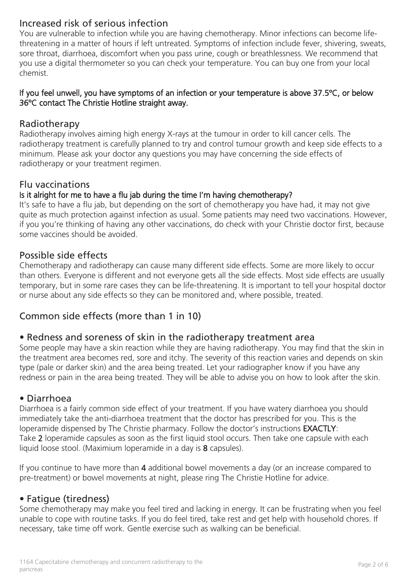# Increased risk of serious infection

You are vulnerable to infection while you are having chemotherapy. Minor infections can become lifethreatening in a matter of hours if left untreated. Symptoms of infection include fever, shivering, sweats, sore throat, diarrhoea, discomfort when you pass urine, cough or breathlessness. We recommend that you use a digital thermometer so you can check your temperature. You can buy one from your local chemist.

#### If you feel unwell, you have symptoms of an infection or your temperature is above 37.5ºC, or below 36ºC contact The Christie Hotline straight away.

#### Radiotherapy

Radiotherapy involves aiming high energy X-rays at the tumour in order to kill cancer cells. The radiotherapy treatment is carefully planned to try and control tumour growth and keep side effects to a minimum. Please ask your doctor any questions you may have concerning the side effects of radiotherapy or your treatment regimen.

#### Flu vaccinations

#### Is it alright for me to have a flu jab during the time I'm having chemotherapy?

It's safe to have a flu jab, but depending on the sort of chemotherapy you have had, it may not give quite as much protection against infection as usual. Some patients may need two vaccinations. However, if you you're thinking of having any other vaccinations, do check with your Christie doctor first, because some vaccines should be avoided.

#### Possible side effects

Chemotherapy and radiotherapy can cause many different side effects. Some are more likely to occur than others. Everyone is different and not everyone gets all the side effects. Most side effects are usually temporary, but in some rare cases they can be life-threatening. It is important to tell your hospital doctor or nurse about any side effects so they can be monitored and, where possible, treated.

# Common side effects (more than 1 in 10)

#### • Redness and soreness of skin in the radiotherapy treatment area

Some people may have a skin reaction while they are having radiotherapy. You may find that the skin in the treatment area becomes red, sore and itchy. The severity of this reaction varies and depends on skin type (pale or darker skin) and the area being treated. Let your radiographer know if you have any redness or pain in the area being treated. They will be able to advise you on how to look after the skin.

#### • Diarrhoea

Diarrhoea is a fairly common side effect of your treatment. If you have watery diarrhoea you should immediately take the anti-diarrhoea treatment that the doctor has prescribed for you. This is the loperamide dispensed by The Christie pharmacy. Follow the doctor's instructions **EXACTLY**: Take 2 loperamide capsules as soon as the first liquid stool occurs. Then take one capsule with each liquid loose stool. (Maximium loperamide in a day is 8 capsules).

If you continue to have more than 4 additional bowel movements a day (or an increase compared to pre-treatment) or bowel movements at night, please ring The Christie Hotline for advice.

## • Fatigue (tiredness)

Some chemotherapy may make you feel tired and lacking in energy. It can be frustrating when you feel unable to cope with routine tasks. If you do feel tired, take rest and get help with household chores. If necessary, take time off work. Gentle exercise such as walking can be beneficial.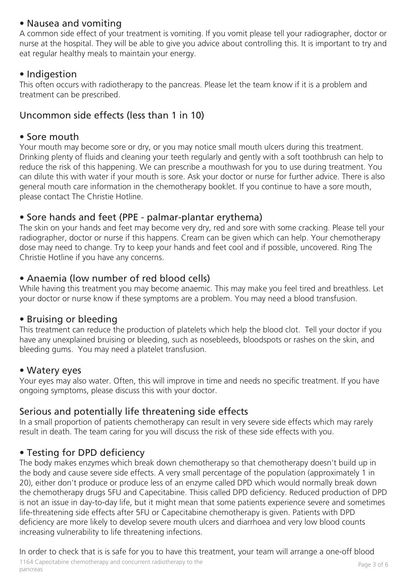## • Nausea and vomiting

A common side effect of your treatment is vomiting. If you vomit please tell your radiographer, doctor or nurse at the hospital. They will be able to give you advice about controlling this. It is important to try and eat regular healthy meals to maintain your energy.

#### • Indigestion

This often occurs with radiotherapy to the pancreas. Please let the team know if it is a problem and treatment can be prescribed.

# Uncommon side effects (less than 1 in 10)

#### • Sore mouth

Your mouth may become sore or dry, or you may notice small mouth ulcers during this treatment. Drinking plenty of fluids and cleaning your teeth regularly and gently with a soft toothbrush can help to reduce the risk of this happening. We can prescribe a mouthwash for you to use during treatment. You can dilute this with water if your mouth is sore. Ask your doctor or nurse for further advice. There is also general mouth care information in the chemotherapy booklet. If you continue to have a sore mouth, please contact The Christie Hotline.

## • Sore hands and feet (PPE - palmar-plantar erythema)

The skin on your hands and feet may become very dry, red and sore with some cracking. Please tell your radiographer, doctor or nurse if this happens. Cream can be given which can help. Your chemotherapy dose may need to change. Try to keep your hands and feet cool and if possible, uncovered. Ring The Christie Hotline if you have any concerns.

## • Anaemia (low number of red blood cells)

While having this treatment you may become anaemic. This may make you feel tired and breathless. Let your doctor or nurse know if these symptoms are a problem. You may need a blood transfusion.

#### • Bruising or bleeding

This treatment can reduce the production of platelets which help the blood clot. Tell your doctor if you have any unexplained bruising or bleeding, such as nosebleeds, bloodspots or rashes on the skin, and bleeding gums. You may need a platelet transfusion.

## • Watery eyes

Your eyes may also water. Often, this will improve in time and needs no specific treatment. If you have ongoing symptoms, please discuss this with your doctor.

# Serious and potentially life threatening side effects

In a small proportion of patients chemotherapy can result in very severe side effects which may rarely result in death. The team caring for you will discuss the risk of these side effects with you.

## • Testing for DPD deficiency

The body makes enzymes which break down chemotherapy so that chemotherapy doesn't build up in the body and cause severe side effects. A very small percentage of the population (approximately 1 in 20), either don't produce or produce less of an enzyme called DPD which would normally break down the chemotherapy drugs 5FU and Capecitabine. Thisis called DPD deficiency. Reduced production of DPD is not an issue in day-to-day life, but it might mean that some patients experience severe and sometimes life-threatening side effects after 5FU or Capecitabine chemotherapy is given. Patients with DPD deficiency are more likely to develop severe mouth ulcers and diarrhoea and very low blood counts increasing vulnerability to life threatening infections.

In order to check that is is safe for you to have this treatment, your team will arrange a one-off blood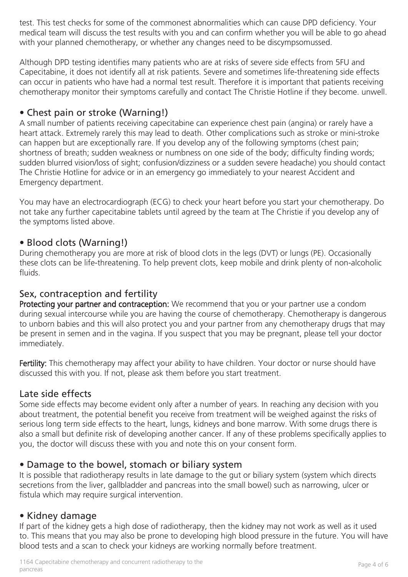test. This test checks for some of the commonest abnormalities which can cause DPD deficiency. Your medical team will discuss the test results with you and can confirm whether you will be able to go ahead with your planned chemotherapy, or whether any changes need to be discympsomussed.

Although DPD testing identifies many patients who are at risks of severe side effects from 5FU and Capecitabine, it does not identify all at risk patients. Severe and sometimes life-threatening side effects can occur in patients who have had a normal test result. Therefore it is important that patients receiving chemotherapy monitor their symptoms carefully and contact The Christie Hotline if they become. unwell.

## • Chest pain or stroke (Warning!)

A small number of patients receiving capecitabine can experience chest pain (angina) or rarely have a heart attack. Extremely rarely this may lead to death. Other complications such as stroke or mini-stroke can happen but are exceptionally rare. If you develop any of the following symptoms (chest pain; shortness of breath; sudden weakness or numbness on one side of the body; difficulty finding words; sudden blurred vision/loss of sight; confusion/dizziness or a sudden severe headache) you should contact The Christie Hotline for advice or in an emergency go immediately to your nearest Accident and Emergency department.

You may have an electrocardiograph (ECG) to check your heart before you start your chemotherapy. Do not take any further capecitabine tablets until agreed by the team at The Christie if you develop any of the symptoms listed above.

## • Blood clots (Warning!)

During chemotherapy you are more at risk of blood clots in the legs (DVT) or lungs (PE). Occasionally these clots can be life-threatening. To help prevent clots, keep mobile and drink plenty of non-alcoholic fluids.

## Sex, contraception and fertility

Protecting your partner and contraception: We recommend that you or your partner use a condom during sexual intercourse while you are having the course of chemotherapy. Chemotherapy is dangerous to unborn babies and this will also protect you and your partner from any chemotherapy drugs that may be present in semen and in the vagina. If you suspect that you may be pregnant, please tell your doctor immediately.

Fertility: This chemotherapy may affect your ability to have children. Your doctor or nurse should have discussed this with you. If not, please ask them before you start treatment.

## Late side effects

Some side effects may become evident only after a number of years. In reaching any decision with you about treatment, the potential benefit you receive from treatment will be weighed against the risks of serious long term side effects to the heart, lungs, kidneys and bone marrow. With some drugs there is also a small but definite risk of developing another cancer. If any of these problems specifically applies to you, the doctor will discuss these with you and note this on your consent form.

## • Damage to the bowel, stomach or biliary system

It is possible that radiotherapy results in late damage to the gut or biliary system (system which directs secretions from the liver, gallbladder and pancreas into the small bowel) such as narrowing, ulcer or fistula which may require surgical intervention.

## • Kidney damage

If part of the kidney gets a high dose of radiotherapy, then the kidney may not work as well as it used to. This means that you may also be prone to developing high blood pressure in the future. You will have blood tests and a scan to check your kidneys are working normally before treatment.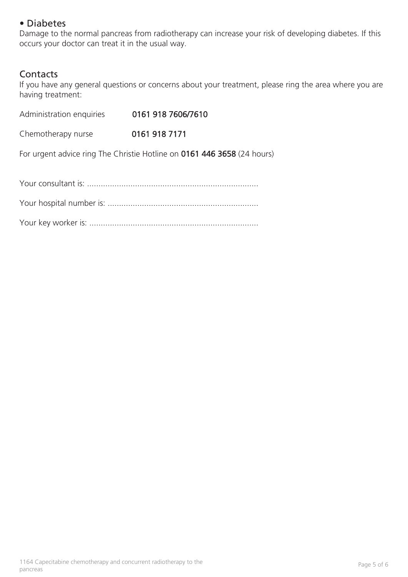## • Diabetes

Damage to the normal pancreas from radiotherapy can increase your risk of developing diabetes. If this occurs your doctor can treat it in the usual way.

#### **Contacts**

If you have any general questions or concerns about your treatment, please ring the area where you are having treatment:

| Administration enquiries                                                | 0161 918 7606/7610 |
|-------------------------------------------------------------------------|--------------------|
| Chemotherapy nurse                                                      | 0161 918 7171      |
| For urgent advice ring The Christie Hotline on 0161 446 3658 (24 hours) |                    |
|                                                                         |                    |
|                                                                         |                    |
|                                                                         |                    |